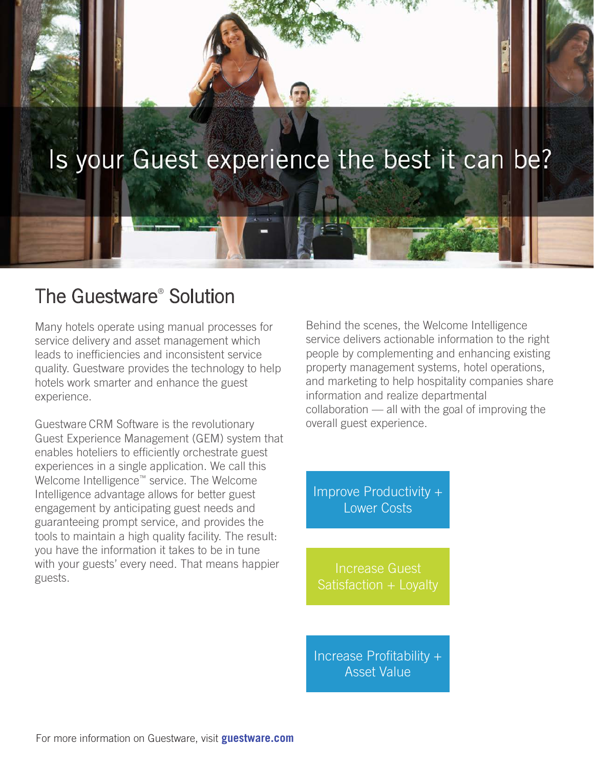

# The Guestware® Solution

Many hotels operate using manual processes for service delivery and asset management which leads to inefficiencies and inconsistent service quality. Guestware provides the technology to help hotels work smarter and enhance the guest experience.

Guestware CRM Software is the revolutionary Guest Experience Management (GEM) system that enables hoteliers to efficiently orchestrate guest experiences in a single application. We call this Welcome Intelligence™ service. The Welcome Intelligence advantage allows for better guest engagement by anticipating guest needs and guaranteeing prompt service, and provides the tools to maintain a high quality facility. The result: you have the information it takes to be in tune with your guests' every need. That means happier guests.

Behind the scenes, the Welcome Intelligence service delivers actionable information to the right people by complementing and enhancing existing property management systems, hotel operations, and marketing to help hospitality companies share information and realize departmental collaboration — all with the goal of improving the overall guest experience.

Improve Productivity + Lower Costs

Increase Guest

Increase Profitability + Asset Value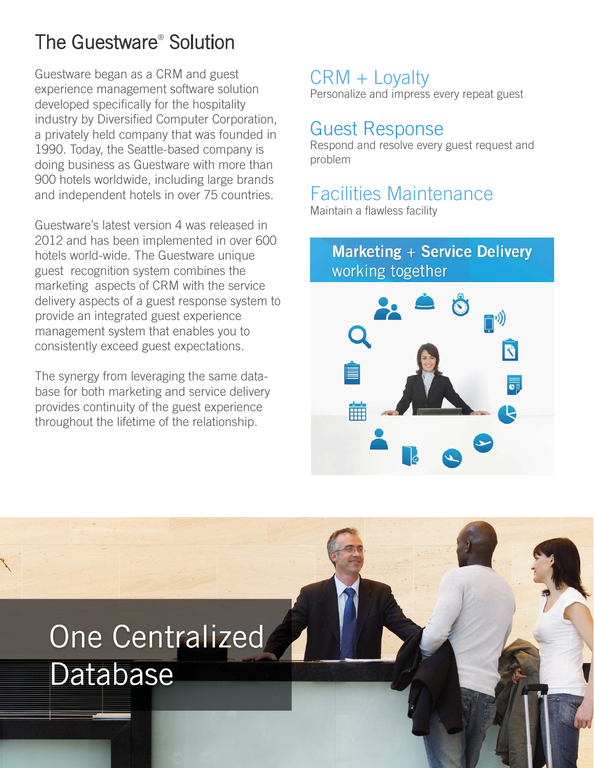# The Guestware® Solution

Guestware began as a CRM and guest experience management software solution developed specifically for the hospitality industry by Diversified Computer Corporation, a privately held company that was founded in 1990. Today, the Seattle-based company is doing business as Guestware with more than 900 hotels worldwide, including large brands and independent hotels in over 75 countries.

Guestware's latest version 4 was released in 2012 and has been implemented in over 600 hotels world-wide. The Guestware unique guest recognition system combines the marketing aspects of CRM with the service delivery aspects of a guest response system to provide an integrated guest experience management system that enables you to consistently exceed guest expectations.

The synergy from leveraging the same database for both marketing and service delivery provides continuity of the guest experience throughout the lifetime of the relationship.

# CRM + Loyalty

Personalize and impress every repeat guest

# Guest Response

Respond and resolve every guest request and problem

# Facilities Maintenance

Maintain a flawless facility

# **Marketing + Service Delivery** working together



# One Centralized Database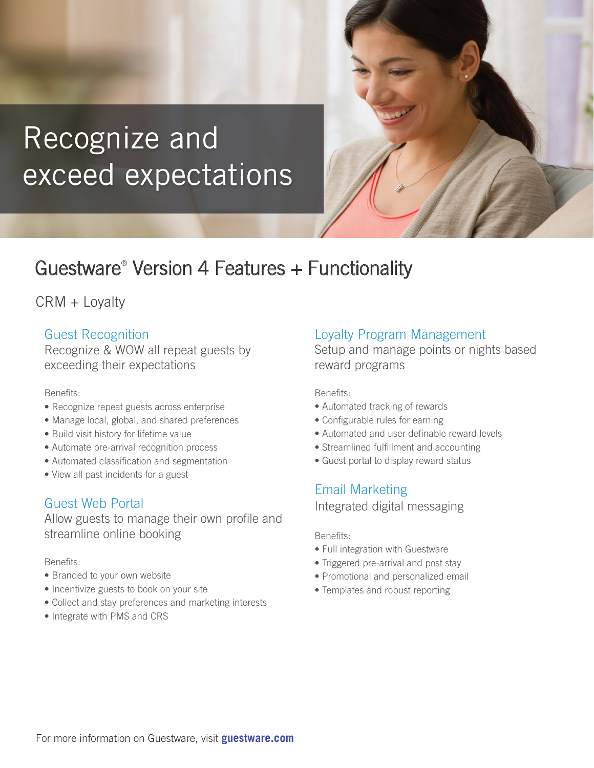# Recognize and exceed expectations

# Guestware® Version 4 Features + Functionality

CRM + Loyalty

### Guest Recognition

Recognize & WOW all repeat guests by exceeding their expectations

#### Benefits:

- Recognize repeat guests across enterprise
- Manage local, global, and shared preferences
- Build visit history for lifetime value
- Automate pre-arrival recognition process
- Automated classification and segmentation
- View all past incidents for a guest

### Guest Web Portal

Allow guests to manage their own profile and streamline online booking

Benefits:

- Branded to your own website
- Incentivize guests to book on your site
- Collect and stay preferences and marketing interests
- Integrate with PMS and CRS

### Loyalty Program Management

Setup and manage points or nights based reward programs

Benefits:

- Automated tracking of rewards
- Configurable rules for earning
- Automated and user definable reward levels
- Streamlined fulfillment and accounting
- Guest portal to display reward status

## Email Marketing

Integrated digital messaging

#### Benefits:

- Full integration with Guestware
- Triggered pre-arrival and post stay
- Promotional and personalized email
- Templates and robust reporting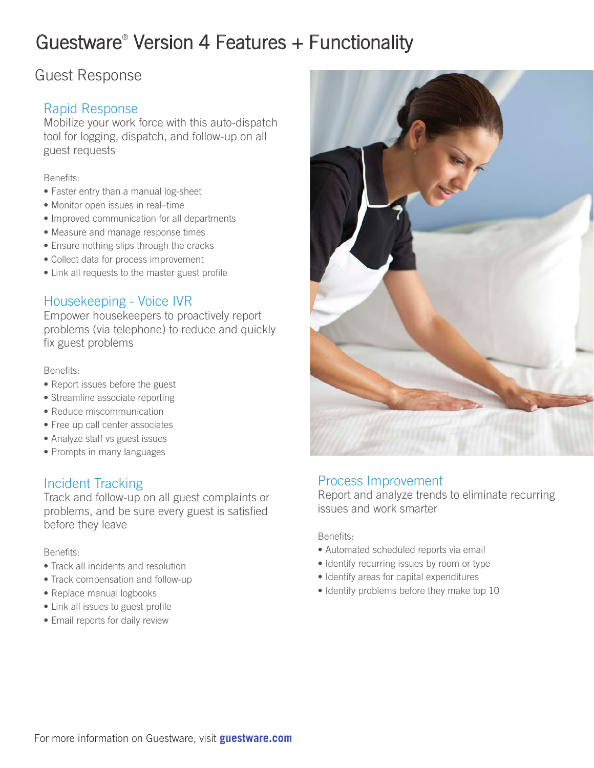# Guestware® Version 4 Features + Functionality

# Guest Response

# Rapid Response

Mobilize your work force with this auto-dispatch tool for logging, dispatch, and follow-up on all guest requests

#### Benefits:

- Faster entry than a manual log-sheet
- Monitor open issues in real–time
- Improved communication for all departments
- Measure and manage response times
- Ensure nothing slips through the cracks
- Collect data for process improvement
- Link all requests to the master guest profile

### Housekeeping - Voice IVR

Empower housekeepers to proactively report problems (via telephone) to reduce and quickly fix guest problems

#### Benefits:

- Report issues before the guest
- Streamline associate reporting
- Reduce miscommunication
- Free up call center associates
- Analyze staff vs guest issues
- Prompts in many languages

### Incident Tracking

Track and follow-up on all guest complaints or problems, and be sure every guest is satisfied before they leave

#### Benefits:

- Track all incidents and resolution
- Track compensation and follow-up
- Replace manual logbooks
- Link all issues to guest profile
- Email reports for daily review



#### Process Improvement

Report and analyze trends to eliminate recurring issues and work smarter

Benefits:

- Automated scheduled reports via email
- Identify recurring issues by room or type
- Identify areas for capital expenditures
- Identify problems before they make top 10